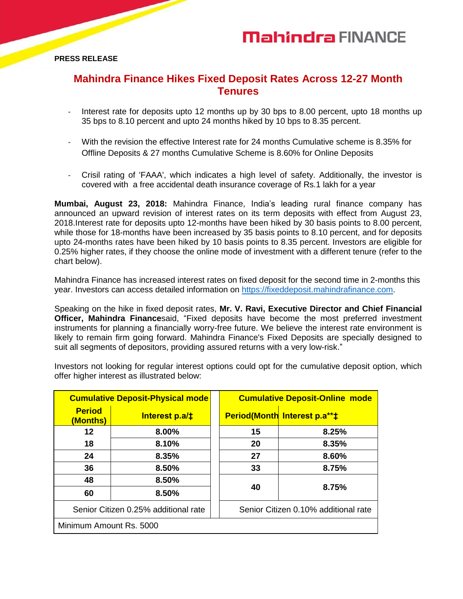## **Mahindra FINANCE**

**PRESS RELEASE**

### **Mahindra Finance Hikes Fixed Deposit Rates Across 12-27 Month Tenures**

- Interest rate for deposits upto 12 months up by 30 bps to 8.00 percent, upto 18 months up 35 bps to 8.10 percent and upto 24 months hiked by 10 bps to 8.35 percent.
- With the revision the effective Interest rate for 24 months Cumulative scheme is 8.35% for Offline Deposits & 27 months Cumulative Scheme is 8.60% for Online Deposits
- Crisil rating of 'FAAA', which indicates a high level of safety. Additionally, the investor is covered with a free accidental death insurance coverage of Rs.1 lakh for a year

**Mumbai, August 23, 2018:** Mahindra Finance, India's leading rural finance company has announced an upward revision of interest rates on its term deposits with effect from August 23, 2018.Interest rate for deposits upto 12-months have been hiked by 30 basis points to 8.00 percent, while those for 18-months have been increased by 35 basis points to 8.10 percent, and for deposits upto 24-months rates have been hiked by 10 basis points to 8.35 percent. Investors are eligible for 0.25% higher rates, if they choose the online mode of investment with a different tenure (refer to the chart below).

Mahindra Finance has increased interest rates on fixed deposit for the second time in 2-months this year. Investors can access detailed information on [https://fixeddeposit.mahindrafinance.com.](https://fixeddeposit.mahindrafinance.com/)

Speaking on the hike in fixed deposit rates, **Mr. V. Ravi, Executive Director and Chief Financial Officer, Mahindra Finance**said, "Fixed deposits have become the most preferred investment instruments for planning a financially worry-free future. We believe the interest rate environment is likely to remain firm going forward. Mahindra Finance's Fixed Deposits are specially designed to suit all segments of depositors, providing assured returns with a very low-risk."

Investors not looking for regular interest options could opt for the cumulative deposit option, which offer higher interest as illustrated below:

| <b>Cumulative Deposit-Physical mode</b> |                       |  | <b>Cumulative Deposit-Online mode</b> |                                     |
|-----------------------------------------|-----------------------|--|---------------------------------------|-------------------------------------|
| <b>Period</b><br>(Months)               | <b>Interest p.a/‡</b> |  |                                       | <b>Period(Month Interest p.a**‡</b> |
| 12                                      | 8.00%                 |  | 15                                    | 8.25%                               |
| 18                                      | 8.10%                 |  | 20                                    | 8.35%                               |
| 24                                      | 8.35%                 |  | 27                                    | 8.60%                               |
| 36                                      | 8.50%                 |  | 33                                    | 8.75%                               |
| 48                                      | 8.50%                 |  | 40                                    | 8.75%                               |
| 60                                      | 8.50%                 |  |                                       |                                     |
| Senior Citizen 0.25% additional rate    |                       |  | Senior Citizen 0.10% additional rate  |                                     |
| Minimum Amount Rs. 5000                 |                       |  |                                       |                                     |